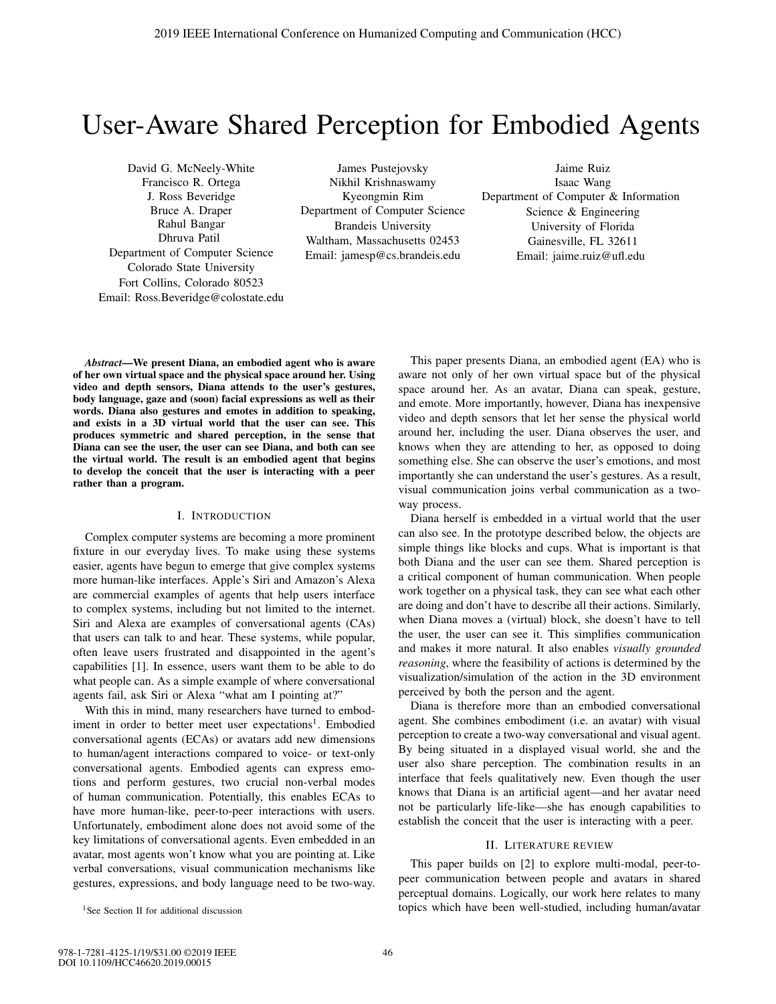# User-Aware Shared Perception for Embodied Agents

David G. McNeely-White Francisco R. Ortega J. Ross Beveridge Bruce A. Draper Rahul Bangar Dhruva Patil Department of Computer Science Colorado State University Fort Collins, Colorado 80523 Email: Ross.Beveridge@colostate.edu

James Pustejovsky Nikhil Krishnaswamy Kyeongmin Rim Department of Computer Science Brandeis University Waltham, Massachusetts 02453 Email: jamesp@cs.brandeis.edu

Jaime Ruiz Isaac Wang Department of Computer & Information Science & Engineering University of Florida Gainesville, FL 32611 Email: jaime.ruiz@ufl.edu

*Abstract*—We present Diana, an embodied agent who is aware of her own virtual space and the physical space around her. Using video and depth sensors, Diana attends to the user's gestures, body language, gaze and (soon) facial expressions as well as their words. Diana also gestures and emotes in addition to speaking, and exists in a 3D virtual world that the user can see. This produces symmetric and shared perception, in the sense that Diana can see the user, the user can see Diana, and both can see the virtual world. The result is an embodied agent that begins to develop the conceit that the user is interacting with a peer rather than a program.

## I. INTRODUCTION

Complex computer systems are becoming a more prominent fixture in our everyday lives. To make using these systems easier, agents have begun to emerge that give complex systems more human-like interfaces. Apple's Siri and Amazon's Alexa are commercial examples of agents that help users interface to complex systems, including but not limited to the internet. Siri and Alexa are examples of conversational agents (CAs) that users can talk to and hear. These systems, while popular, often leave users frustrated and disappointed in the agent's capabilities [1]. In essence, users want them to be able to do what people can. As a simple example of where conversational agents fail, ask Siri or Alexa "what am I pointing at?"

With this in mind, many researchers have turned to embodiment in order to better meet user expectations<sup>1</sup>. Embodied conversational agents (ECAs) or avatars add new dimensions to human/agent interactions compared to voice- or text-only conversational agents. Embodied agents can express emotions and perform gestures, two crucial non-verbal modes of human communication. Potentially, this enables ECAs to have more human-like, peer-to-peer interactions with users. Unfortunately, embodiment alone does not avoid some of the key limitations of conversational agents. Even embedded in an avatar, most agents won't know what you are pointing at. Like verbal conversations, visual communication mechanisms like gestures, expressions, and body language need to be two-way.

<sup>1</sup>See Section II for additional discussion

This paper presents Diana, an embodied agent (EA) who is aware not only of her own virtual space but of the physical space around her. As an avatar, Diana can speak, gesture, and emote. More importantly, however, Diana has inexpensive video and depth sensors that let her sense the physical world around her, including the user. Diana observes the user, and knows when they are attending to her, as opposed to doing something else. She can observe the user's emotions, and most importantly she can understand the user's gestures. As a result, visual communication joins verbal communication as a twoway process.

Diana herself is embedded in a virtual world that the user can also see. In the prototype described below, the objects are simple things like blocks and cups. What is important is that both Diana and the user can see them. Shared perception is a critical component of human communication. When people work together on a physical task, they can see what each other are doing and don't have to describe all their actions. Similarly, when Diana moves a (virtual) block, she doesn't have to tell the user, the user can see it. This simplifies communication and makes it more natural. It also enables *visually grounded reasoning*, where the feasibility of actions is determined by the visualization/simulation of the action in the 3D environment perceived by both the person and the agent.

Diana is therefore more than an embodied conversational agent. She combines embodiment (i.e. an avatar) with visual perception to create a two-way conversational and visual agent. By being situated in a displayed visual world, she and the user also share perception. The combination results in an interface that feels qualitatively new. Even though the user knows that Diana is an artificial agent—and her avatar need not be particularly life-like—she has enough capabilities to establish the conceit that the user is interacting with a peer.

## II. LITERATURE REVIEW

This paper builds on [2] to explore multi-modal, peer-topeer communication between people and avatars in shared perceptual domains. Logically, our work here relates to many topics which have been well-studied, including human/avatar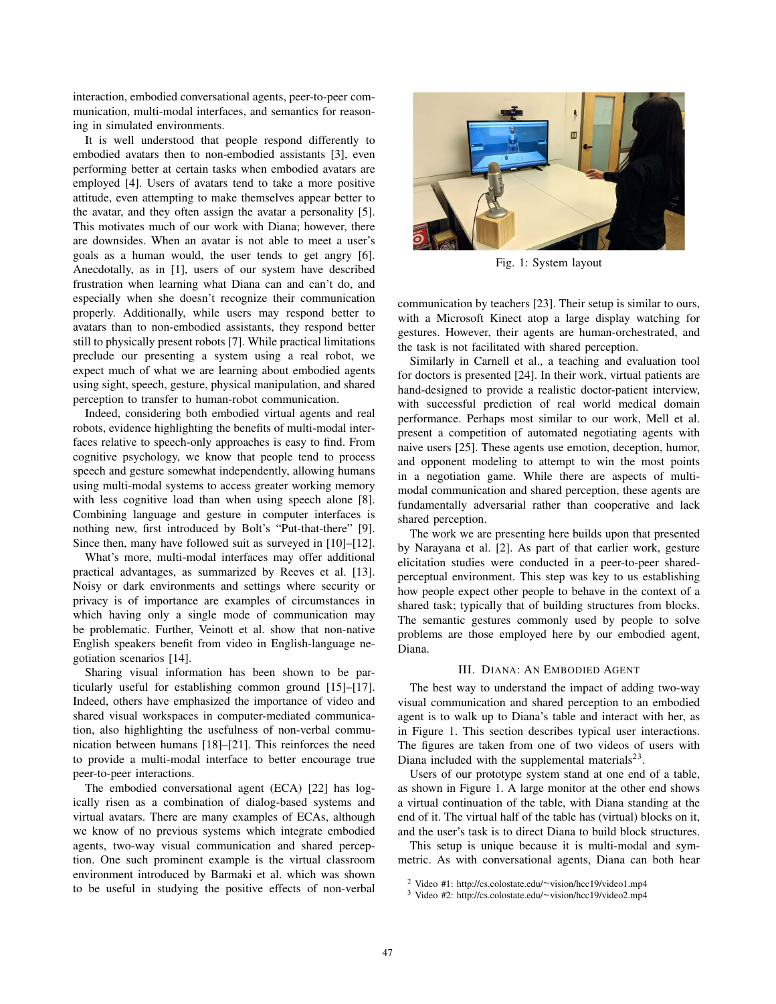interaction, embodied conversational agents, peer-to-peer communication, multi-modal interfaces, and semantics for reasoning in simulated environments.

It is well understood that people respond differently to embodied avatars then to non-embodied assistants [3], even performing better at certain tasks when embodied avatars are employed [4]. Users of avatars tend to take a more positive attitude, even attempting to make themselves appear better to the avatar, and they often assign the avatar a personality [5]. This motivates much of our work with Diana; however, there are downsides. When an avatar is not able to meet a user's goals as a human would, the user tends to get angry [6]. Anecdotally, as in [1], users of our system have described frustration when learning what Diana can and can't do, and especially when she doesn't recognize their communication properly. Additionally, while users may respond better to avatars than to non-embodied assistants, they respond better still to physically present robots [7]. While practical limitations preclude our presenting a system using a real robot, we expect much of what we are learning about embodied agents using sight, speech, gesture, physical manipulation, and shared perception to transfer to human-robot communication.

Indeed, considering both embodied virtual agents and real robots, evidence highlighting the benefits of multi-modal interfaces relative to speech-only approaches is easy to find. From cognitive psychology, we know that people tend to process speech and gesture somewhat independently, allowing humans using multi-modal systems to access greater working memory with less cognitive load than when using speech alone [8]. Combining language and gesture in computer interfaces is nothing new, first introduced by Bolt's "Put-that-there" [9]. Since then, many have followed suit as surveyed in [10]–[12].

What's more, multi-modal interfaces may offer additional practical advantages, as summarized by Reeves et al. [13]. Noisy or dark environments and settings where security or privacy is of importance are examples of circumstances in which having only a single mode of communication may be problematic. Further, Veinott et al. show that non-native English speakers benefit from video in English-language negotiation scenarios [14].

Sharing visual information has been shown to be particularly useful for establishing common ground [15]–[17]. Indeed, others have emphasized the importance of video and shared visual workspaces in computer-mediated communication, also highlighting the usefulness of non-verbal communication between humans [18]–[21]. This reinforces the need to provide a multi-modal interface to better encourage true peer-to-peer interactions.

The embodied conversational agent (ECA) [22] has logically risen as a combination of dialog-based systems and virtual avatars. There are many examples of ECAs, although we know of no previous systems which integrate embodied agents, two-way visual communication and shared perception. One such prominent example is the virtual classroom environment introduced by Barmaki et al. which was shown to be useful in studying the positive effects of non-verbal



Fig. 1: System layout

communication by teachers [23]. Their setup is similar to ours, with a Microsoft Kinect atop a large display watching for gestures. However, their agents are human-orchestrated, and the task is not facilitated with shared perception.

Similarly in Carnell et al., a teaching and evaluation tool for doctors is presented [24]. In their work, virtual patients are hand-designed to provide a realistic doctor-patient interview, with successful prediction of real world medical domain performance. Perhaps most similar to our work, Mell et al. present a competition of automated negotiating agents with naive users [25]. These agents use emotion, deception, humor, and opponent modeling to attempt to win the most points in a negotiation game. While there are aspects of multimodal communication and shared perception, these agents are fundamentally adversarial rather than cooperative and lack shared perception.

The work we are presenting here builds upon that presented by Narayana et al. [2]. As part of that earlier work, gesture elicitation studies were conducted in a peer-to-peer sharedperceptual environment. This step was key to us establishing how people expect other people to behave in the context of a shared task; typically that of building structures from blocks. The semantic gestures commonly used by people to solve problems are those employed here by our embodied agent, Diana.

#### III. DIANA: AN EMBODIED AGENT

The best way to understand the impact of adding two-way visual communication and shared perception to an embodied agent is to walk up to Diana's table and interact with her, as in Figure 1. This section describes typical user interactions. The figures are taken from one of two videos of users with Diana included with the supplemental materials $2<sup>3</sup>$ .

Users of our prototype system stand at one end of a table, as shown in Figure 1. A large monitor at the other end shows a virtual continuation of the table, with Diana standing at the end of it. The virtual half of the table has (virtual) blocks on it, and the user's task is to direct Diana to build block structures.

This setup is unique because it is multi-modal and symmetric. As with conversational agents, Diana can both hear

<sup>2</sup> Video #1: http://cs.colostate.edu/∼vision/hcc19/video1.mp4

<sup>3</sup> Video #2: http://cs.colostate.edu/∼vision/hcc19/video2.mp4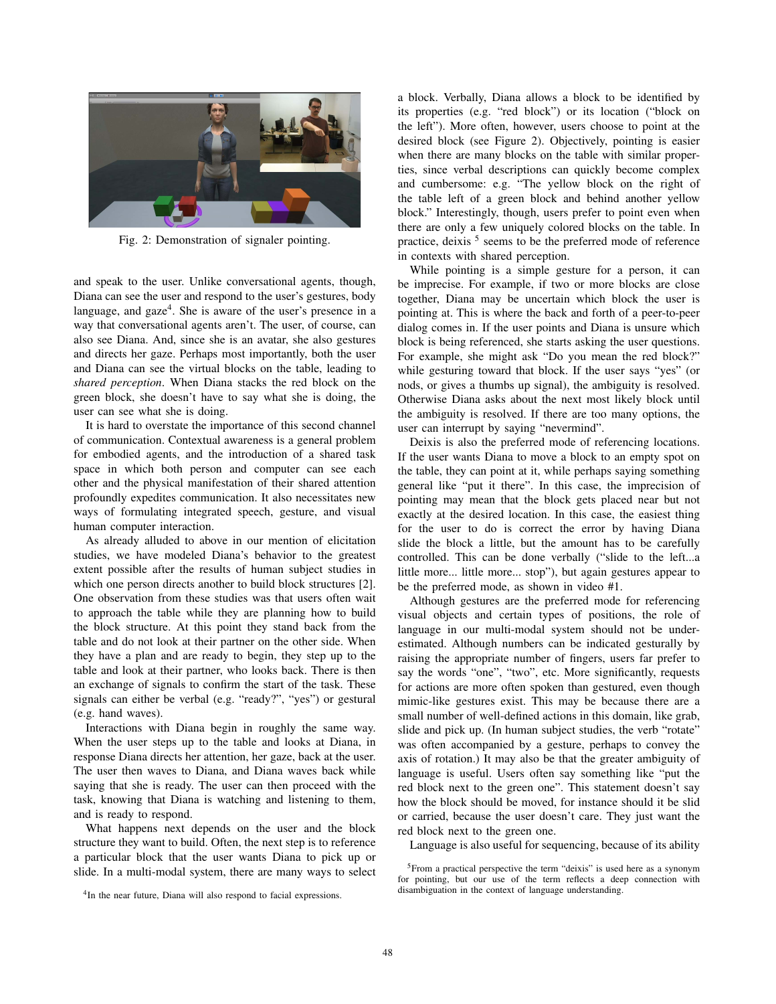

Fig. 2: Demonstration of signaler pointing.

and speak to the user. Unlike conversational agents, though, Diana can see the user and respond to the user's gestures, body language, and gaze<sup>4</sup>. She is aware of the user's presence in a way that conversational agents aren't. The user, of course, can also see Diana. And, since she is an avatar, she also gestures and directs her gaze. Perhaps most importantly, both the user and Diana can see the virtual blocks on the table, leading to *shared perception*. When Diana stacks the red block on the green block, she doesn't have to say what she is doing, the user can see what she is doing.

It is hard to overstate the importance of this second channel of communication. Contextual awareness is a general problem for embodied agents, and the introduction of a shared task space in which both person and computer can see each other and the physical manifestation of their shared attention profoundly expedites communication. It also necessitates new ways of formulating integrated speech, gesture, and visual human computer interaction.

As already alluded to above in our mention of elicitation studies, we have modeled Diana's behavior to the greatest extent possible after the results of human subject studies in which one person directs another to build block structures [2]. One observation from these studies was that users often wait to approach the table while they are planning how to build the block structure. At this point they stand back from the table and do not look at their partner on the other side. When they have a plan and are ready to begin, they step up to the table and look at their partner, who looks back. There is then an exchange of signals to confirm the start of the task. These signals can either be verbal (e.g. "ready?", "yes") or gestural (e.g. hand waves).

Interactions with Diana begin in roughly the same way. When the user steps up to the table and looks at Diana, in response Diana directs her attention, her gaze, back at the user. The user then waves to Diana, and Diana waves back while saying that she is ready. The user can then proceed with the task, knowing that Diana is watching and listening to them, and is ready to respond.

What happens next depends on the user and the block structure they want to build. Often, the next step is to reference a particular block that the user wants Diana to pick up or slide. In a multi-modal system, there are many ways to select

a block. Verbally, Diana allows a block to be identified by its properties (e.g. "red block") or its location ("block on the left"). More often, however, users choose to point at the desired block (see Figure 2). Objectively, pointing is easier when there are many blocks on the table with similar properties, since verbal descriptions can quickly become complex and cumbersome: e.g. "The yellow block on the right of the table left of a green block and behind another yellow block." Interestingly, though, users prefer to point even when there are only a few uniquely colored blocks on the table. In practice, deixis  $5$  seems to be the preferred mode of reference in contexts with shared perception.

While pointing is a simple gesture for a person, it can be imprecise. For example, if two or more blocks are close together, Diana may be uncertain which block the user is pointing at. This is where the back and forth of a peer-to-peer dialog comes in. If the user points and Diana is unsure which block is being referenced, she starts asking the user questions. For example, she might ask "Do you mean the red block?" while gesturing toward that block. If the user says "yes" (or nods, or gives a thumbs up signal), the ambiguity is resolved. Otherwise Diana asks about the next most likely block until the ambiguity is resolved. If there are too many options, the user can interrupt by saying "nevermind".

Deixis is also the preferred mode of referencing locations. If the user wants Diana to move a block to an empty spot on the table, they can point at it, while perhaps saying something general like "put it there". In this case, the imprecision of pointing may mean that the block gets placed near but not exactly at the desired location. In this case, the easiest thing for the user to do is correct the error by having Diana slide the block a little, but the amount has to be carefully controlled. This can be done verbally ("slide to the left...a little more... little more... stop"), but again gestures appear to be the preferred mode, as shown in video #1.

Although gestures are the preferred mode for referencing visual objects and certain types of positions, the role of language in our multi-modal system should not be underestimated. Although numbers can be indicated gesturally by raising the appropriate number of fingers, users far prefer to say the words "one", "two", etc. More significantly, requests for actions are more often spoken than gestured, even though mimic-like gestures exist. This may be because there are a small number of well-defined actions in this domain, like grab, slide and pick up. (In human subject studies, the verb "rotate" was often accompanied by a gesture, perhaps to convey the axis of rotation.) It may also be that the greater ambiguity of language is useful. Users often say something like "put the red block next to the green one". This statement doesn't say how the block should be moved, for instance should it be slid or carried, because the user doesn't care. They just want the red block next to the green one.

Language is also useful for sequencing, because of its ability

<sup>&</sup>lt;sup>4</sup>In the near future, Diana will also respond to facial expressions.

<sup>&</sup>lt;sup>5</sup>From a practical perspective the term "deixis" is used here as a synonym for pointing, but our use of the term reflects a deep connection with disambiguation in the context of language understanding.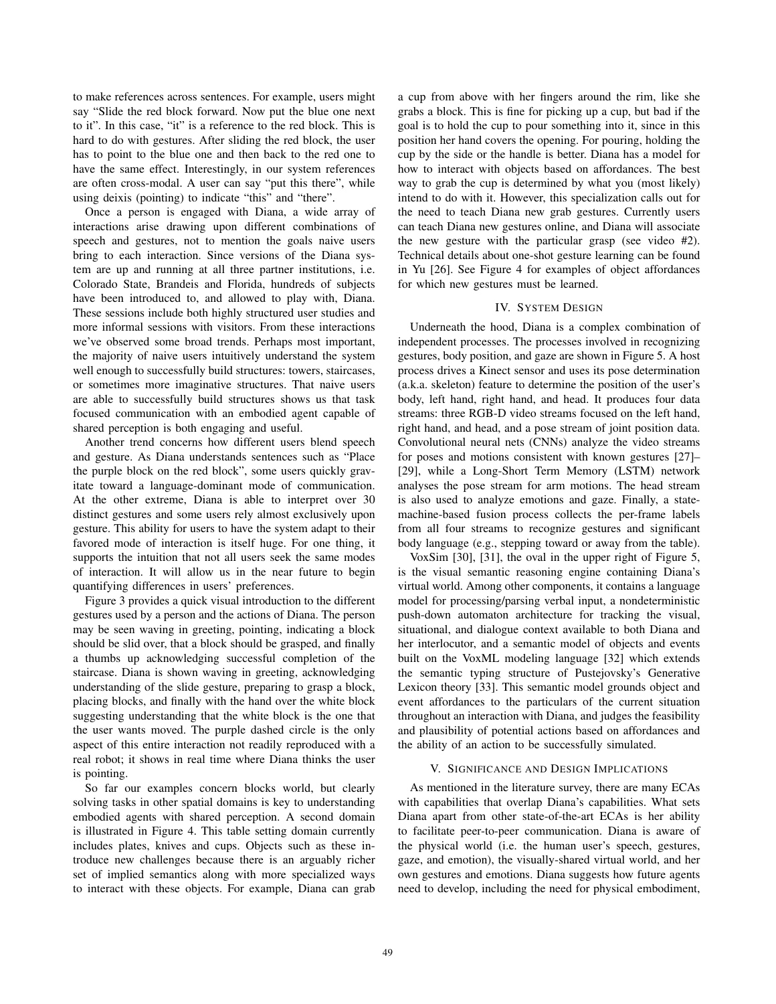to make references across sentences. For example, users might say "Slide the red block forward. Now put the blue one next to it". In this case, "it" is a reference to the red block. This is hard to do with gestures. After sliding the red block, the user has to point to the blue one and then back to the red one to have the same effect. Interestingly, in our system references are often cross-modal. A user can say "put this there", while using deixis (pointing) to indicate "this" and "there".

Once a person is engaged with Diana, a wide array of interactions arise drawing upon different combinations of speech and gestures, not to mention the goals naive users bring to each interaction. Since versions of the Diana system are up and running at all three partner institutions, i.e. Colorado State, Brandeis and Florida, hundreds of subjects have been introduced to, and allowed to play with, Diana. These sessions include both highly structured user studies and more informal sessions with visitors. From these interactions we've observed some broad trends. Perhaps most important, the majority of naive users intuitively understand the system well enough to successfully build structures: towers, staircases, or sometimes more imaginative structures. That naive users are able to successfully build structures shows us that task focused communication with an embodied agent capable of shared perception is both engaging and useful.

Another trend concerns how different users blend speech and gesture. As Diana understands sentences such as "Place the purple block on the red block", some users quickly gravitate toward a language-dominant mode of communication. At the other extreme, Diana is able to interpret over 30 distinct gestures and some users rely almost exclusively upon gesture. This ability for users to have the system adapt to their favored mode of interaction is itself huge. For one thing, it supports the intuition that not all users seek the same modes of interaction. It will allow us in the near future to begin quantifying differences in users' preferences.

Figure 3 provides a quick visual introduction to the different gestures used by a person and the actions of Diana. The person may be seen waving in greeting, pointing, indicating a block should be slid over, that a block should be grasped, and finally a thumbs up acknowledging successful completion of the staircase. Diana is shown waving in greeting, acknowledging understanding of the slide gesture, preparing to grasp a block, placing blocks, and finally with the hand over the white block suggesting understanding that the white block is the one that the user wants moved. The purple dashed circle is the only aspect of this entire interaction not readily reproduced with a real robot; it shows in real time where Diana thinks the user is pointing.

So far our examples concern blocks world, but clearly solving tasks in other spatial domains is key to understanding embodied agents with shared perception. A second domain is illustrated in Figure 4. This table setting domain currently includes plates, knives and cups. Objects such as these introduce new challenges because there is an arguably richer set of implied semantics along with more specialized ways to interact with these objects. For example, Diana can grab a cup from above with her fingers around the rim, like she grabs a block. This is fine for picking up a cup, but bad if the goal is to hold the cup to pour something into it, since in this position her hand covers the opening. For pouring, holding the cup by the side or the handle is better. Diana has a model for how to interact with objects based on affordances. The best way to grab the cup is determined by what you (most likely) intend to do with it. However, this specialization calls out for the need to teach Diana new grab gestures. Currently users can teach Diana new gestures online, and Diana will associate the new gesture with the particular grasp (see video #2). Technical details about one-shot gesture learning can be found in Yu [26]. See Figure 4 for examples of object affordances for which new gestures must be learned.

## IV. SYSTEM DESIGN

Underneath the hood, Diana is a complex combination of independent processes. The processes involved in recognizing gestures, body position, and gaze are shown in Figure 5. A host process drives a Kinect sensor and uses its pose determination (a.k.a. skeleton) feature to determine the position of the user's body, left hand, right hand, and head. It produces four data streams: three RGB-D video streams focused on the left hand, right hand, and head, and a pose stream of joint position data. Convolutional neural nets (CNNs) analyze the video streams for poses and motions consistent with known gestures [27]– [29], while a Long-Short Term Memory (LSTM) network analyses the pose stream for arm motions. The head stream is also used to analyze emotions and gaze. Finally, a statemachine-based fusion process collects the per-frame labels from all four streams to recognize gestures and significant body language (e.g., stepping toward or away from the table).

VoxSim [30], [31], the oval in the upper right of Figure 5, is the visual semantic reasoning engine containing Diana's virtual world. Among other components, it contains a language model for processing/parsing verbal input, a nondeterministic push-down automaton architecture for tracking the visual, situational, and dialogue context available to both Diana and her interlocutor, and a semantic model of objects and events built on the VoxML modeling language [32] which extends the semantic typing structure of Pustejovsky's Generative Lexicon theory [33]. This semantic model grounds object and event affordances to the particulars of the current situation throughout an interaction with Diana, and judges the feasibility and plausibility of potential actions based on affordances and the ability of an action to be successfully simulated.

#### V. SIGNIFICANCE AND DESIGN IMPLICATIONS

As mentioned in the literature survey, there are many ECAs with capabilities that overlap Diana's capabilities. What sets Diana apart from other state-of-the-art ECAs is her ability to facilitate peer-to-peer communication. Diana is aware of the physical world (i.e. the human user's speech, gestures, gaze, and emotion), the visually-shared virtual world, and her own gestures and emotions. Diana suggests how future agents need to develop, including the need for physical embodiment,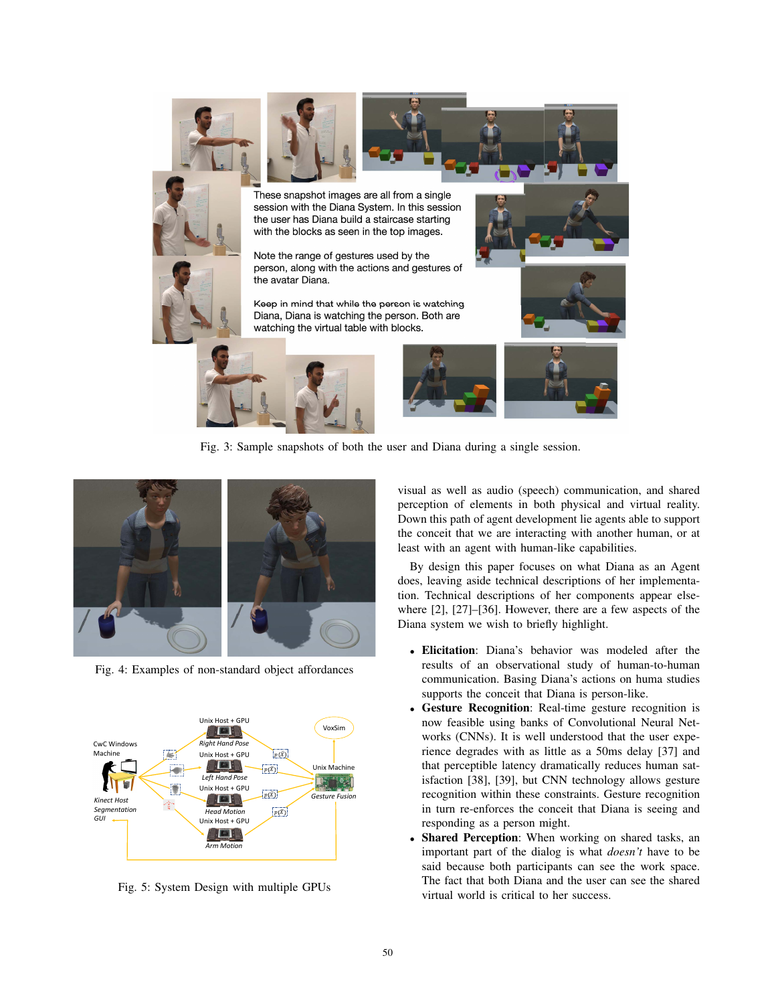

Fig. 3: Sample snapshots of both the user and Diana during a single session.



Fig. 4: Examples of non-standard object affordances



Fig. 5: System Design with multiple GPUs

visual as well as audio (speech) communication, and shared perception of elements in both physical and virtual reality. Down this path of agent development lie agents able to support the conceit that we are interacting with another human, or at least with an agent with human-like capabilities.

By design this paper focuses on what Diana as an Agent does, leaving aside technical descriptions of her implementation. Technical descriptions of her components appear elsewhere [2], [27]–[36]. However, there are a few aspects of the Diana system we wish to briefly highlight.

- Elicitation: Diana's behavior was modeled after the results of an observational study of human-to-human communication. Basing Diana's actions on huma studies supports the conceit that Diana is person-like.
- Gesture Recognition: Real-time gesture recognition is now feasible using banks of Convolutional Neural Networks (CNNs). It is well understood that the user experience degrades with as little as a 50ms delay [37] and that perceptible latency dramatically reduces human satisfaction [38], [39], but CNN technology allows gesture recognition within these constraints. Gesture recognition in turn re-enforces the conceit that Diana is seeing and responding as a person might.
- Shared Perception: When working on shared tasks, an important part of the dialog is what *doesn't* have to be said because both participants can see the work space. The fact that both Diana and the user can see the shared virtual world is critical to her success.